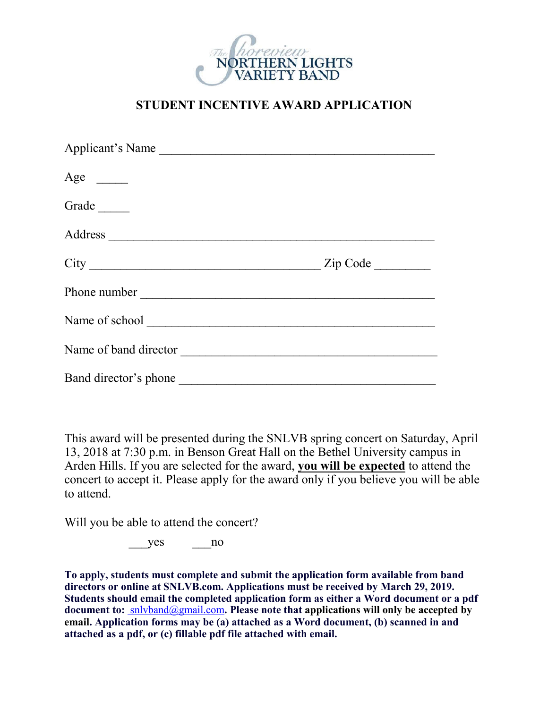

## **STUDENT INCENTIVE AWARD APPLICATION**

| Applicant's Name                                                                                                                                                                                                                                                                                                                                                                                              |  |
|---------------------------------------------------------------------------------------------------------------------------------------------------------------------------------------------------------------------------------------------------------------------------------------------------------------------------------------------------------------------------------------------------------------|--|
| Age $\qquad$                                                                                                                                                                                                                                                                                                                                                                                                  |  |
| Grade $\_\_$                                                                                                                                                                                                                                                                                                                                                                                                  |  |
|                                                                                                                                                                                                                                                                                                                                                                                                               |  |
| $City$ $\qquad \qquad \qquad$ $\qquad \qquad$ $\qquad \qquad$ $\qquad \qquad$ $\qquad \qquad$ $\qquad \qquad$ $\qquad \qquad$ $\qquad \qquad$ $\qquad \qquad$ $\qquad \qquad$ $\qquad \qquad$ $\qquad \qquad$ $\qquad \qquad$ $\qquad \qquad$ $\qquad \qquad$ $\qquad \qquad$ $\qquad \qquad$ $\qquad \qquad$ $\qquad \qquad$ $\qquad \qquad$ $\qquad \qquad$ $\qquad \qquad$ $\qquad \qquad$ $\qquad \qquad$ |  |
|                                                                                                                                                                                                                                                                                                                                                                                                               |  |
|                                                                                                                                                                                                                                                                                                                                                                                                               |  |
| Name of band director                                                                                                                                                                                                                                                                                                                                                                                         |  |
|                                                                                                                                                                                                                                                                                                                                                                                                               |  |

This award will be presented during the SNLVB spring concert on Saturday, April 13, 2018 at 7:30 p.m. in Benson Great Hall on the Bethel University campus in Arden Hills. If you are selected for the award, **you will be expected** to attend the concert to accept it. Please apply for the award only if you believe you will be able to attend.

Will you be able to attend the concert?

yes no

**To apply, students must complete and submit the application form available from band directors or online at SNLVB.com. Applications must be received by March 29, 2019. Students should email the completed application form as either a Word document or a pdf document to:** snlvband@gmail.com**. Please note that applications will only be accepted by email. Application forms may be (a) attached as a Word document, (b) scanned in and attached as a pdf, or (c) fillable pdf file attached with email.**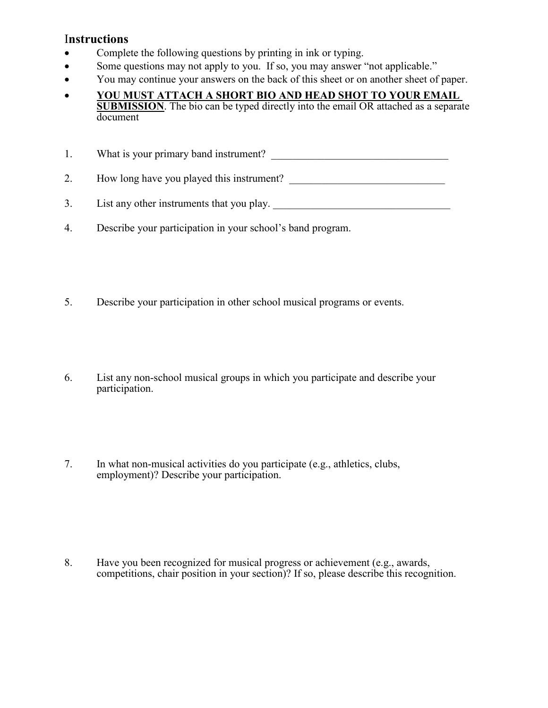## I**nstructions**

- Complete the following questions by printing in ink or typing.
- Some questions may not apply to you. If so, you may answer "not applicable."
- You may continue your answers on the back of this sheet or on another sheet of paper.
- **YOU MUST ATTACH A SHORT BIO AND HEAD SHOT TO YOUR EMAIL SUBMISSION**. The bio can be typed directly into the email OR attached as a separate document

1. What is your primary band instrument? \_\_\_\_\_\_\_\_\_\_\_\_\_\_\_\_\_\_\_\_\_\_\_\_\_\_\_\_\_\_\_\_\_

2. How long have you played this instrument?

- 3. List any other instruments that you play.
- 4. Describe your participation in your school's band program.
- 5. Describe your participation in other school musical programs or events.
- 6. List any non-school musical groups in which you participate and describe your participation.
- 7. In what non-musical activities do you participate (e.g., athletics, clubs, employment)? Describe your participation.

8. Have you been recognized for musical progress or achievement (e.g., awards, competitions, chair position in your section)? If so, please describe this recognition.